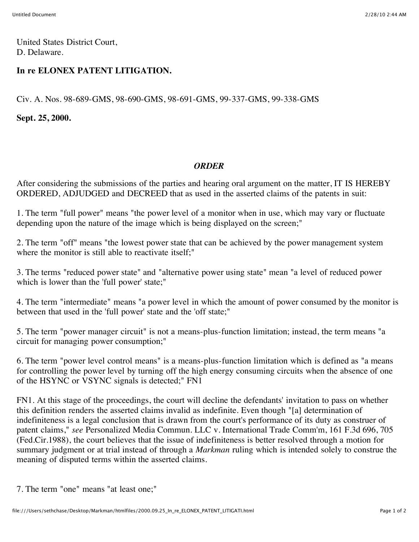United States District Court, D. Delaware.

## **In re ELONEX PATENT LITIGATION.**

Civ. A. Nos. 98-689-GMS, 98-690-GMS, 98-691-GMS, 99-337-GMS, 99-338-GMS

**Sept. 25, 2000.**

## *ORDER*

After considering the submissions of the parties and hearing oral argument on the matter, IT IS HEREBY ORDERED, ADJUDGED and DECREED that as used in the asserted claims of the patents in suit:

1. The term "full power" means "the power level of a monitor when in use, which may vary or fluctuate depending upon the nature of the image which is being displayed on the screen;"

2. The term "off" means "the lowest power state that can be achieved by the power management system where the monitor is still able to reactivate itself:"

3. The terms "reduced power state" and "alternative power using state" mean "a level of reduced power which is lower than the 'full power' state;"

4. The term "intermediate" means "a power level in which the amount of power consumed by the monitor is between that used in the 'full power' state and the 'off state;"

5. The term "power manager circuit" is not a means-plus-function limitation; instead, the term means "a circuit for managing power consumption;"

6. The term "power level control means" is a means-plus-function limitation which is defined as "a means for controlling the power level by turning off the high energy consuming circuits when the absence of one of the HSYNC or VSYNC signals is detected;" FN1

FN1. At this stage of the proceedings, the court will decline the defendants' invitation to pass on whether this definition renders the asserted claims invalid as indefinite. Even though "[a] determination of indefiniteness is a legal conclusion that is drawn from the court's performance of its duty as construer of patent claims," *see* Personalized Media Commun. LLC v. International Trade Comm'm, 161 F.3d 696, 705 (Fed.Cir.1988), the court believes that the issue of indefiniteness is better resolved through a motion for summary judgment or at trial instead of through a *Markman* ruling which is intended solely to construe the meaning of disputed terms within the asserted claims.

7. The term "one" means "at least one;"